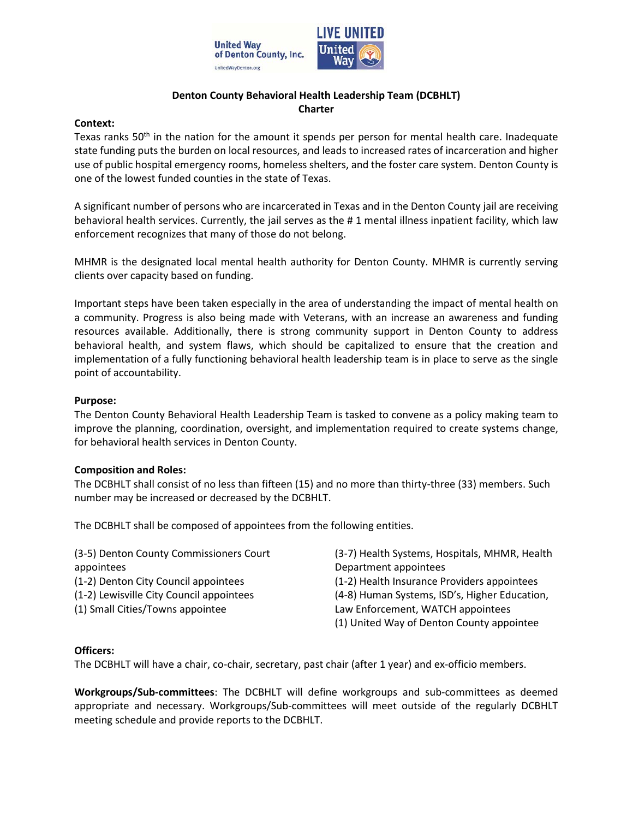

## **Denton County Behavioral Health Leadership Team (DCBHLT) Charter**

#### **Context:**

Texas ranks  $50<sup>th</sup>$  in the nation for the amount it spends per person for mental health care. Inadequate state funding puts the burden on local resources, and leads to increased rates of incarceration and higher use of public hospital emergency rooms, homeless shelters, and the foster care system. Denton County is one of the lowest funded counties in the state of Texas.

A significant number of persons who are incarcerated in Texas and in the Denton County jail are receiving behavioral health services. Currently, the jail serves as the # 1 mental illness inpatient facility, which law enforcement recognizes that many of those do not belong.

MHMR is the designated local mental health authority for Denton County. MHMR is currently serving clients over capacity based on funding.

Important steps have been taken especially in the area of understanding the impact of mental health on a community. Progress is also being made with Veterans, with an increase an awareness and funding resources available. Additionally, there is strong community support in Denton County to address behavioral health, and system flaws, which should be capitalized to ensure that the creation and implementation of a fully functioning behavioral health leadership team is in place to serve as the single point of accountability.

#### **Purpose:**

The Denton County Behavioral Health Leadership Team is tasked to convene as a policy making team to improve the planning, coordination, oversight, and implementation required to create systems change, for behavioral health services in Denton County.

#### **Composition and Roles:**

The DCBHLT shall consist of no less than fifteen (15) and no more than thirty-three (33) members. Such number may be increased or decreased by the DCBHLT.

The DCBHLT shall be composed of appointees from the following entities.

| (3-5) Denton County Commissioners Court  | (3-7) Health Systems, Hospitals, MHMR, Health |  |
|------------------------------------------|-----------------------------------------------|--|
|                                          |                                               |  |
| appointees                               | Department appointees                         |  |
| (1-2) Denton City Council appointees     | (1-2) Health Insurance Providers appointees   |  |
| (1-2) Lewisville City Council appointees | (4-8) Human Systems, ISD's, Higher Education, |  |
| (1) Small Cities/Towns appointee         | Law Enforcement, WATCH appointees             |  |
|                                          | (1) United Way of Denton County appointee     |  |

#### **Officers:**

The DCBHLT will have a chair, co-chair, secretary, past chair (after 1 year) and ex-officio members.

**Workgroups/Sub-committees**: The DCBHLT will define workgroups and sub-committees as deemed appropriate and necessary. Workgroups/Sub-committees will meet outside of the regularly DCBHLT meeting schedule and provide reports to the DCBHLT.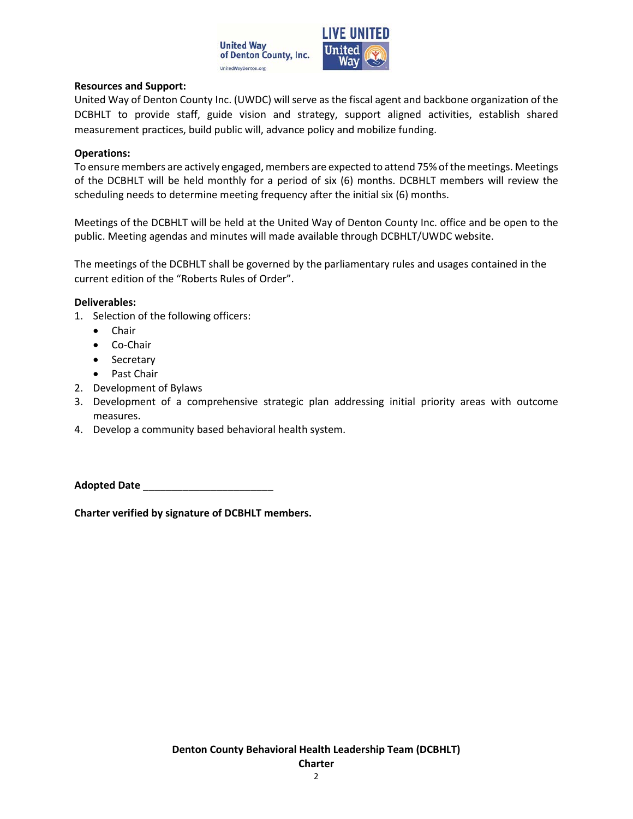

## **Resources and Support:**

United Way of Denton County Inc. (UWDC) will serve as the fiscal agent and backbone organization of the DCBHLT to provide staff, guide vision and strategy, support aligned activities, establish shared measurement practices, build public will, advance policy and mobilize funding.

#### **Operations:**

To ensure members are actively engaged, members are expected to attend 75% of the meetings. Meetings of the DCBHLT will be held monthly for a period of six (6) months. DCBHLT members will review the scheduling needs to determine meeting frequency after the initial six (6) months.

Meetings of the DCBHLT will be held at the United Way of Denton County Inc. office and be open to the public. Meeting agendas and minutes will made available through DCBHLT/UWDC website.

The meetings of the DCBHLT shall be governed by the parliamentary rules and usages contained in the current edition of the "Roberts Rules of Order".

### **Deliverables:**

- 1. Selection of the following officers:
	- Chair
	- Co-Chair
	- Secretary
	- Past Chair
- 2. Development of Bylaws
- 3. Development of a comprehensive strategic plan addressing initial priority areas with outcome measures.
- 4. Develop a community based behavioral health system.

**Adopted Date** \_\_\_\_\_\_\_\_\_\_\_\_\_\_\_\_\_\_\_\_\_\_\_

**Charter verified by signature of DCBHLT members.**